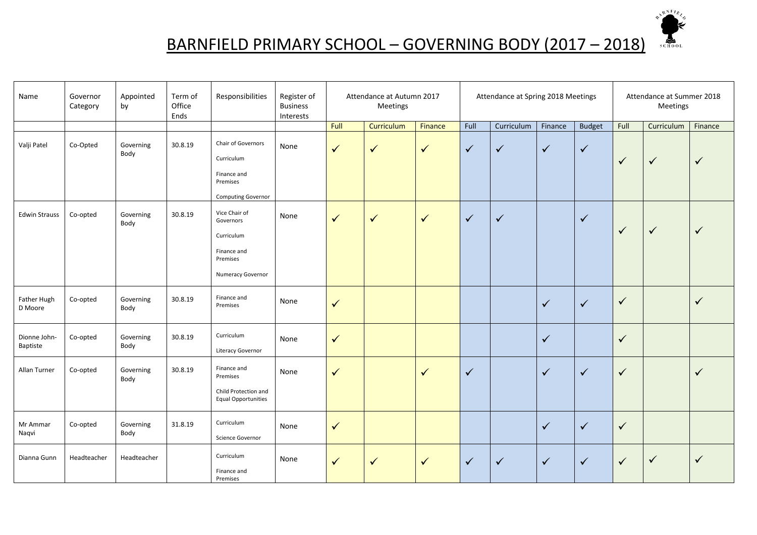

## BARNFIELD PRIMARY SCHOOL – GOVERNING BODY (2017 – 2018)

| Name                     | Governor<br>Category | Appointed<br>by   | Term of<br>Office<br>Ends | Responsibilities                                                                         | Register of<br><b>Business</b><br>Interests | Attendance at Autumn 2017<br>Meetings |              |              |              | Attendance at Spring 2018 Meetings |              | Attendance at Summer 2018<br>Meetings |              |              |              |
|--------------------------|----------------------|-------------------|---------------------------|------------------------------------------------------------------------------------------|---------------------------------------------|---------------------------------------|--------------|--------------|--------------|------------------------------------|--------------|---------------------------------------|--------------|--------------|--------------|
|                          |                      |                   |                           |                                                                                          |                                             | Full                                  | Curriculum   | Finance      | Full         | Curriculum                         | Finance      | <b>Budget</b>                         | Full         | Curriculum   | Finance      |
| Valji Patel              | Co-Opted             | Governing<br>Body | 30.8.19                   | Chair of Governors<br>Curriculum<br>Finance and<br>Premises<br><b>Computing Governor</b> | None                                        | $\checkmark$                          | $\sqrt{}$    | $\checkmark$ | $\checkmark$ | $\checkmark$                       | $\checkmark$ | $\checkmark$                          | $\checkmark$ | $\checkmark$ | $\checkmark$ |
| <b>Edwin Strauss</b>     | Co-opted             | Governing<br>Body | 30.8.19                   | Vice Chair of<br>Governors<br>Curriculum<br>Finance and<br>Premises<br>Numeracy Governor | None                                        | $\checkmark$                          | $\sqrt{}$    | $\checkmark$ | $\checkmark$ | $\checkmark$                       |              | $\checkmark$                          | $\checkmark$ | $\checkmark$ | $\checkmark$ |
| Father Hugh<br>D Moore   | Co-opted             | Governing<br>Body | 30.8.19                   | Finance and<br>Premises                                                                  | None                                        | $\checkmark$                          |              |              |              |                                    | $\checkmark$ | $\checkmark$                          | $\checkmark$ |              | $\checkmark$ |
| Dionne John-<br>Baptiste | Co-opted             | Governing<br>Body | 30.8.19                   | Curriculum<br>Literacy Governor                                                          | None                                        | $\checkmark$                          |              |              |              |                                    | $\checkmark$ |                                       | $\checkmark$ |              |              |
| Allan Turner             | Co-opted             | Governing<br>Body | 30.8.19                   | Finance and<br>Premises<br>Child Protection and<br><b>Equal Opportunities</b>            | None                                        | $\checkmark$                          |              | $\checkmark$ | $\checkmark$ |                                    | $\checkmark$ | $\checkmark$                          | $\checkmark$ |              | $\checkmark$ |
| Mr Ammar<br>Naqvi        | Co-opted             | Governing<br>Body | 31.8.19                   | Curriculum<br>Science Governor                                                           | None                                        | $\checkmark$                          |              |              |              |                                    | $\checkmark$ | $\checkmark$                          | $\checkmark$ |              |              |
| Dianna Gunn              | Headteacher          | Headteacher       |                           | Curriculum<br>Finance and<br>Premises                                                    | None                                        | $\checkmark$                          | $\checkmark$ | $\checkmark$ | $\checkmark$ | $\checkmark$                       | $\checkmark$ | $\sqrt{}$                             | $\checkmark$ | $\checkmark$ | $\checkmark$ |